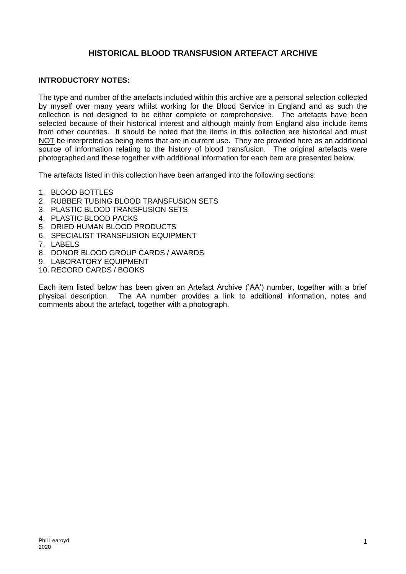# **HISTORICAL BLOOD TRANSFUSION ARTEFACT ARCHIVE**

## **INTRODUCTORY NOTES:**

The type and number of the artefacts included within this archive are a personal selection collected by myself over many years whilst working for the Blood Service in England and as such the collection is not designed to be either complete or comprehensive. The artefacts have been selected because of their historical interest and although mainly from England also include items from other countries. It should be noted that the items in this collection are historical and must NOT be interpreted as being items that are in current use. They are provided here as an additional source of information relating to the history of blood transfusion. The original artefacts were photographed and these together with additional information for each item are presented below.

The artefacts listed in this collection have been arranged into the following sections:

- 1. BLOOD BOTTLES
- 2. RUBBER TUBING BLOOD TRANSFUSION SETS
- 3. PLASTIC BLOOD TRANSFUSION SETS
- 4. PLASTIC BLOOD PACKS
- 5. DRIED HUMAN BLOOD PRODUCTS
- 6. SPECIALIST TRANSFUSION EQUIPMENT
- 7. LABELS
- 8. DONOR BLOOD GROUP CARDS / AWARDS
- 9. LABORATORY EQUIPMENT
- 10. RECORD CARDS / BOOKS

Each item listed below has been given an Artefact Archive ('AA') number, together with a brief physical description. The AA number provides a link to additional information, notes and comments about the artefact, together with a photograph.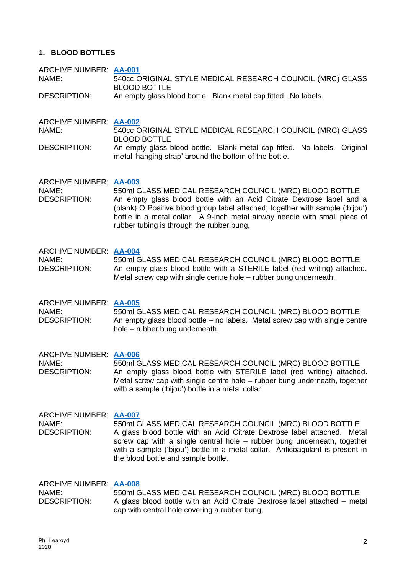## **1. BLOOD BOTTLES**

ARCHIVE NUMBER: **[AA-001](https://0d66353c-bff7-45fe-afa9-096c14d0e52b.filesusr.com/ugd/9e7bfc_703f75eac8a7489bbf70fe2d007939ce.pdf)** NAME: 540cc ORIGINAL STYLE MEDICAL RESEARCH COUNCIL (MRC) GLASS BLOOD BOTTLE

DESCRIPTION: An empty glass blood bottle. Blank metal cap fitted. No labels.

ARCHIVE NUMBER: **[AA-002](https://0d66353c-bff7-45fe-afa9-096c14d0e52b.filesusr.com/ugd/9e7bfc_da4ed9c8215f43949363cd3a493404ab.pdf)** NAME: 540cc ORIGINAL STYLE MEDICAL RESEARCH COUNCIL (MRC) GLASS BLOOD BOTTLE DESCRIPTION: An empty glass blood bottle. Blank metal cap fitted. No labels. Original

metal 'hanging strap' around the bottom of the bottle.

ARCHIVE NUMBER: **[AA-003](https://0d66353c-bff7-45fe-afa9-096c14d0e52b.filesusr.com/ugd/9e7bfc_671c24eeec8144ab964cf34db2aa2644.pdf)** NAME: 550ml GLASS MEDICAL RESEARCH COUNCIL (MRC) BLOOD BOTTLE DESCRIPTION: An empty glass blood bottle with an Acid Citrate Dextrose label and a (blank) O Positive blood group label attached; together with sample ('bijou') bottle in a metal collar. A 9-inch metal airway needle with small piece of rubber tubing is through the rubber bung,

ARCHIVE NUMBER: **[AA-004](https://0d66353c-bff7-45fe-afa9-096c14d0e52b.filesusr.com/ugd/9e7bfc_7a9eeedadf2d44b6bb215f43c52fea84.pdf)** NAME: 550ml GLASS MEDICAL RESEARCH COUNCIL (MRC) BLOOD BOTTLE DESCRIPTION: An empty glass blood bottle with a STERILE label (red writing) attached. Metal screw cap with single centre hole – rubber bung underneath.

ARCHIVE NUMBER: **[AA-005](https://0d66353c-bff7-45fe-afa9-096c14d0e52b.filesusr.com/ugd/9e7bfc_a88c409fce4a4b32a8a1e54f9f4d4626.pdf)** NAME: 550ml GLASS MEDICAL RESEARCH COUNCIL (MRC) BLOOD BOTTLE DESCRIPTION: An empty glass blood bottle – no labels. Metal screw cap with single centre hole – rubber bung underneath.

ARCHIVE NUMBER: **[AA-006](https://0d66353c-bff7-45fe-afa9-096c14d0e52b.filesusr.com/ugd/9e7bfc_00e6dd488ff44593b1454de73ced5cc2.pdf)** NAME: 550ml GLASS MEDICAL RESEARCH COUNCIL (MRC) BLOOD BOTTLE DESCRIPTION: An empty glass blood bottle with STERILE label (red writing) attached. Metal screw cap with single centre hole – rubber bung underneath, together with a sample ('bijou') bottle in a metal collar.

ARCHIVE NUMBER: **[AA-007](https://0d66353c-bff7-45fe-afa9-096c14d0e52b.filesusr.com/ugd/9e7bfc_cdfb85349f804e35b17dfd9125fd8782.pdf)** NAME: 550ml GLASS MEDICAL RESEARCH COUNCIL (MRC) BLOOD BOTTLE DESCRIPTION: A glass blood bottle with an Acid Citrate Dextrose label attached. Metal screw cap with a single central hole – rubber bung underneath, together with a sample ('bijou') bottle in a metal collar. Anticoagulant is present in the blood bottle and sample bottle.

ARCHIVE NUMBER: **[AA-008](https://0d66353c-bff7-45fe-afa9-096c14d0e52b.filesusr.com/ugd/9e7bfc_63b1c89f1cb140348af4ea6ac6e2d750.pdf)** NAME: 550ml GLASS MEDICAL RESEARCH COUNCIL (MRC) BLOOD BOTTLE DESCRIPTION: A glass blood bottle with an Acid Citrate Dextrose label attached – metal cap with central hole covering a rubber bung.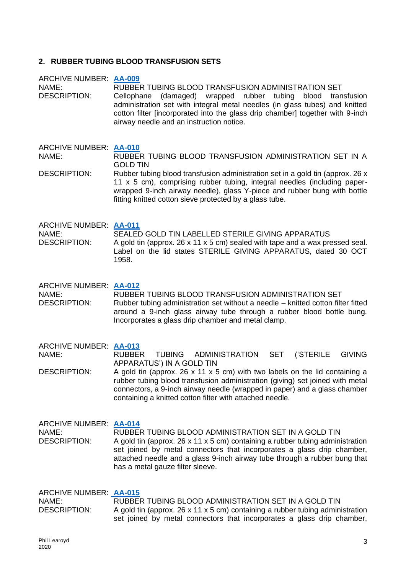## **2. RUBBER TUBING BLOOD TRANSFUSION SETS**

ARCHIVE NUMBER: **[AA-009](https://0d66353c-bff7-45fe-afa9-096c14d0e52b.filesusr.com/ugd/9e7bfc_31177309c32a419d8abbab76b0d83982.pdf)** NAME: RUBBER TUBING BLOOD TRANSFUSION ADMINISTRATION SET DESCRIPTION: Cellophane (damaged) wrapped rubber tubing blood transfusion administration set with integral metal needles (in glass tubes) and knitted cotton filter [incorporated into the glass drip chamber] together with 9-inch airway needle and an instruction notice.

ARCHIVE NUMBER: **[AA-010](https://0d66353c-bff7-45fe-afa9-096c14d0e52b.filesusr.com/ugd/9e7bfc_27a04839eda04cc7964d0e5f5a4ed13d.pdf)** NAME: RUBBER TUBING BLOOD TRANSFUSION ADMINISTRATION SET IN A GOLD TIN

DESCRIPTION: Rubber tubing blood transfusion administration set in a gold tin (approx. 26 x 11 x 5 cm), comprising rubber tubing, integral needles (including paperwrapped 9-inch airway needle), glass Y-piece and rubber bung with bottle fitting knitted cotton sieve protected by a glass tube.

ARCHIVE NUMBER: **[AA-011](https://0d66353c-bff7-45fe-afa9-096c14d0e52b.filesusr.com/ugd/9e7bfc_22731ffbca9f49d0b3f894da6ca5d945.pdf)** NAME: SEALED GOLD TIN LABELLED STERILE GIVING APPARATUS DESCRIPTION: A gold tin (approx. 26 x 11 x 5 cm) sealed with tape and a wax pressed seal. Label on the lid states STERILE GIVING APPARATUS, dated 30 OCT 1958.

ARCHIVE NUMBER: **[AA-012](https://0d66353c-bff7-45fe-afa9-096c14d0e52b.filesusr.com/ugd/9e7bfc_2c9e5866e8a846c98492e4dced22fe88.pdf)** NAME: RUBBER TUBING BLOOD TRANSFUSION ADMINISTRATION SET DESCRIPTION: Rubber tubing administration set without a needle – knitted cotton filter fitted around a 9-inch glass airway tube through a rubber blood bottle bung. Incorporates a glass drip chamber and metal clamp.

ARCHIVE NUMBER: **[AA-013](https://0d66353c-bff7-45fe-afa9-096c14d0e52b.filesusr.com/ugd/9e7bfc_34955b286d81484f94d8090bd1e12d51.pdf)** NAME: RUBBER TUBING ADMINISTRATION SET ('STERILE GIVING APPARATUS') IN A GOLD TIN

DESCRIPTION: A gold tin (approx. 26 x 11 x 5 cm) with two labels on the lid containing a rubber tubing blood transfusion administration (giving) set joined with metal connectors, a 9-inch airway needle (wrapped in paper) and a glass chamber containing a knitted cotton filter with attached needle.

ARCHIVE NUMBER: **[AA-014](https://0d66353c-bff7-45fe-afa9-096c14d0e52b.filesusr.com/ugd/9e7bfc_b787a022c1bd4274844c8a205c93f647.pdf)** NAME: RUBBER TUBING BLOOD ADMINISTRATION SET IN A GOLD TIN DESCRIPTION: A gold tin (approx. 26 x 11 x 5 cm) containing a rubber tubing administration set joined by metal connectors that incorporates a glass drip chamber, attached needle and a glass 9-inch airway tube through a rubber bung that has a metal gauze filter sleeve.

ARCHIVE NUMBER: **[AA-015](https://0d66353c-bff7-45fe-afa9-096c14d0e52b.filesusr.com/ugd/9e7bfc_8b9a36804d034ab7ab17ad925b69b9f5.pdf)** NAME: RUBBER TUBING BLOOD ADMINISTRATION SET IN A GOLD TIN DESCRIPTION: A gold tin (approx. 26 x 11 x 5 cm) containing a rubber tubing administration set joined by metal connectors that incorporates a glass drip chamber,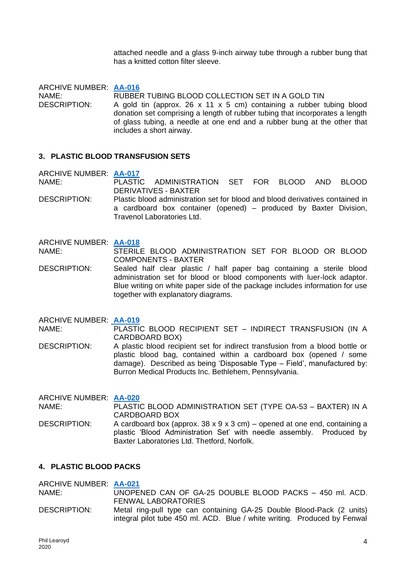attached needle and a glass 9-inch airway tube through a rubber bung that has a knitted cotton filter sleeve.

ARCHIVE NUMBER: **[AA-016](https://0d66353c-bff7-45fe-afa9-096c14d0e52b.filesusr.com/ugd/9e7bfc_c3ae7f6b8b9347fea638c2e7b91ece77.pdf)** NAME: RUBBER TUBING BLOOD COLLECTION SET IN A GOLD TIN DESCRIPTION: A gold tin (approx. 26 x 11 x 5 cm) containing a rubber tubing blood donation set comprising a length of rubber tubing that incorporates a length of glass tubing, a needle at one end and a rubber bung at the other that includes a short airway.

## **3. PLASTIC BLOOD TRANSFUSION SETS**

ARCHIVE NUMBER: **[AA-017](https://0d66353c-bff7-45fe-afa9-096c14d0e52b.filesusr.com/ugd/9e7bfc_bbfce3c1cde248c496c72c4b40014757.pdf)**

NAME: PLASTIC ADMINISTRATION SET FOR BLOOD AND BLOOD DERIVATIVES - BAXTER

DESCRIPTION: Plastic blood administration set for blood and blood derivatives contained in a cardboard box container (opened) – produced by Baxter Division, Travenol Laboratories Ltd.

#### ARCHIVE NUMBER: **[AA-018](https://0d66353c-bff7-45fe-afa9-096c14d0e52b.filesusr.com/ugd/9e7bfc_d862ff83b07b4e84a201d5c90701c716.pdf)**

NAME: STERILE BLOOD ADMINISTRATION SET FOR BLOOD OR BLOOD COMPONENTS - BAXTER

DESCRIPTION: Sealed half clear plastic / half paper bag containing a sterile blood administration set for blood or blood components with luer-lock adaptor. Blue writing on white paper side of the package includes information for use together with explanatory diagrams.

ARCHIVE NUMBER: **[AA-019](https://0d66353c-bff7-45fe-afa9-096c14d0e52b.filesusr.com/ugd/9e7bfc_71e55dc37c3e4d249f54a62d5e4906d1.pdf)**

NAME: PLASTIC BLOOD RECIPIENT SET – INDIRECT TRANSFUSION (IN A CARDBOARD BOX)

DESCRIPTION: A plastic blood recipient set for indirect transfusion from a blood bottle or plastic blood bag, contained within a cardboard box (opened / some damage). Described as being 'Disposable Type – Field', manufactured by: Burron Medical Products Inc. Bethlehem, Pennsylvania.

ARCHIVE NUMBER: **[AA-020](https://0d66353c-bff7-45fe-afa9-096c14d0e52b.filesusr.com/ugd/9e7bfc_129de51b4dec40dcb4da11241440834b.pdf)** PLASTIC BLOOD ADMINISTRATION SET (TYPE OA-53 - BAXTER) IN A CARDBOARD BOX DESCRIPTION: A cardboard box (approx. 38 x 9 x 3 cm) – opened at one end, containing a plastic 'Blood Administration Set' with needle assembly. Produced by Baxter Laboratories Ltd. Thetford, Norfolk.

## **4. PLASTIC BLOOD PACKS**

ARCHIVE NUMBER: **[AA-021](https://0d66353c-bff7-45fe-afa9-096c14d0e52b.filesusr.com/ugd/9e7bfc_ab0b9c90749d4479bbeac87b4afc40d4.pdf)** NAME: UNOPENED CAN OF GA-25 DOUBLE BLOOD PACKS – 450 ml. ACD. FENWAL LABORATORIES DESCRIPTION: Metal ring-pull type can containing GA-25 Double Blood-Pack (2 units) integral pilot tube 450 ml. ACD. Blue / white writing. Produced by Fenwal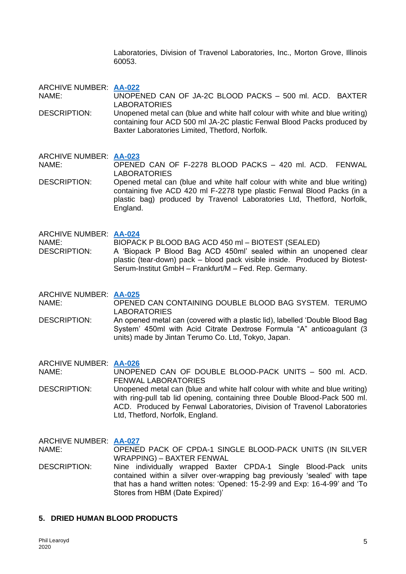Laboratories, Division of Travenol Laboratories, Inc., Morton Grove, Illinois 60053.

ARCHIVE NUMBER: **[AA-022](https://0d66353c-bff7-45fe-afa9-096c14d0e52b.filesusr.com/ugd/9e7bfc_4e4bc46b86a14e1aa632ad12bb8c4e7c.pdf)**

NAME: UNOPENED CAN OF JA-2C BLOOD PACKS – 500 ml. ACD. BAXTER LABORATORIES

DESCRIPTION: Unopened metal can (blue and white half colour with white and blue writing) containing four ACD 500 ml JA-2C plastic Fenwal Blood Packs produced by Baxter Laboratories Limited, Thetford, Norfolk.

ARCHIVE NUMBER: **[AA-023](https://0d66353c-bff7-45fe-afa9-096c14d0e52b.filesusr.com/ugd/9e7bfc_f1dedeb353be4acc951cad1805c4b6c7.pdf)** NAME: OPENED CAN OF F-2278 BLOOD PACKS – 420 ml. ACD. FENWAL LABORATORIES

DESCRIPTION: Opened metal can (blue and white half colour with white and blue writing) containing five ACD 420 ml F-2278 type plastic Fenwal Blood Packs (in a plastic bag) produced by Travenol Laboratories Ltd, Thetford, Norfolk, England.

ARCHIVE NUMBER: **[AA-024](https://0d66353c-bff7-45fe-afa9-096c14d0e52b.filesusr.com/ugd/9e7bfc_5270f4cdc5eb419f952019c3f359e0b6.pdf)** NAME: BIOPACK P BLOOD BAG ACD 450 ml – BIOTEST (SEALED) DESCRIPTION: A 'Biopack P Blood Bag ACD 450ml' sealed within an unopened clear plastic (tear-down) pack – blood pack visible inside. Produced by Biotest-Serum-Institut GmbH – Frankfurt/M – Fed. Rep. Germany.

ARCHIVE NUMBER: **[AA-025](https://0d66353c-bff7-45fe-afa9-096c14d0e52b.filesusr.com/ugd/9e7bfc_951e76cb3d414529a672347a3407cce8.pdf)**

NAME: OPENED CAN CONTAINING DOUBLE BLOOD BAG SYSTEM. TERUMO LABORATORIES

DESCRIPTION: An opened metal can (covered with a plastic lid), labelled 'Double Blood Bag System' 450ml with Acid Citrate Dextrose Formula "A" anticoagulant (3 units) made by Jintan Terumo Co. Ltd, Tokyo, Japan.

ARCHIVE NUMBER: **[AA-026](https://0d66353c-bff7-45fe-afa9-096c14d0e52b.filesusr.com/ugd/9e7bfc_4066ef6fb390412fa0f7a64b9f88b298.pdf)** NAME: UNOPENED CAN OF DOUBLE BLOOD-PACK UNITS – 500 ml. ACD. FENWAL LABORATORIES

DESCRIPTION: Unopened metal can (blue and white half colour with white and blue writing) with ring-pull tab lid opening, containing three Double Blood-Pack 500 ml. ACD. Produced by Fenwal Laboratories, Division of Travenol Laboratories Ltd, Thetford, Norfolk, England.

ARCHIVE NUMBER: **[AA-027](https://0d66353c-bff7-45fe-afa9-096c14d0e52b.filesusr.com/ugd/9e7bfc_21a15d5752134ba788b3a87fe573ce44.pdf)** NAME: OPENED PACK OF CPDA-1 SINGLE BLOOD-PACK UNITS (IN SILVER WRAPPING) – BAXTER FENWAL DESCRIPTION: Nine individually wrapped Baxter CPDA-1 Single Blood-Pack units contained within a silver over-wrapping bag previously 'sealed' with tape that has a hand written notes: 'Opened: 15-2-99 and Exp: 16-4-99' and 'To Stores from HBM (Date Expired)'

## **5. DRIED HUMAN BLOOD PRODUCTS**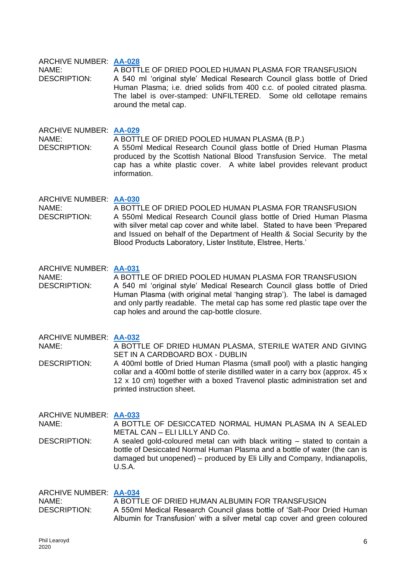### ARCHIVE NUMBER: **[AA-028](https://0d66353c-bff7-45fe-afa9-096c14d0e52b.filesusr.com/ugd/9e7bfc_57514fe4ff02461aaaaed2ed67f820eb.pdf)**

NAME: A BOTTLE OF DRIED POOLED HUMAN PLASMA FOR TRANSFUSION DESCRIPTION: A 540 ml 'original style' Medical Research Council glass bottle of Dried Human Plasma; i.e. dried solids from 400 c.c. of pooled citrated plasma. The label is over-stamped: UNFILTERED. Some old cellotape remains around the metal cap.

ARCHIVE NUMBER: **[AA-029](https://0d66353c-bff7-45fe-afa9-096c14d0e52b.filesusr.com/ugd/9e7bfc_3d26cc975f864df8aff3b77e6cc1f075.pdf)** NAME: A BOTTLE OF DRIED POOLED HUMAN PLASMA (B.P.) DESCRIPTION: A 550ml Medical Research Council glass bottle of Dried Human Plasma produced by the Scottish National Blood Transfusion Service. The metal cap has a white plastic cover. A white label provides relevant product information.

## ARCHIVE NUMBER: **[AA-030](https://0d66353c-bff7-45fe-afa9-096c14d0e52b.filesusr.com/ugd/9e7bfc_c0c528059c8b4f9c9899566e371e3c9b.pdf)**

NAME: A BOTTLE OF DRIED POOLED HUMAN PLASMA FOR TRANSFUSION DESCRIPTION: A 550ml Medical Research Council glass bottle of Dried Human Plasma with silver metal cap cover and white label. Stated to have been 'Prepared and Issued on behalf of the Department of Health & Social Security by the Blood Products Laboratory, Lister Institute, Elstree, Herts.'

## ARCHIVE NUMBER: **[AA-031](https://0d66353c-bff7-45fe-afa9-096c14d0e52b.filesusr.com/ugd/9e7bfc_0cc8551916c24b77a413cd4d844f2c01.pdf)**

NAME: A BOTTLE OF DRIED POOLED HUMAN PLASMA FOR TRANSFUSION DESCRIPTION: A 540 ml 'original style' Medical Research Council glass bottle of Dried Human Plasma (with original metal 'hanging strap'). The label is damaged and only partly readable. The metal cap has some red plastic tape over the cap holes and around the cap-bottle closure.

ARCHIVE NUMBER: **[AA-032](https://0d66353c-bff7-45fe-afa9-096c14d0e52b.filesusr.com/ugd/9e7bfc_feee86c87d4f47508d2c3732cdb52ec4.pdf)**

U.S.A.

NAME: A BOTTLE OF DRIED HUMAN PLASMA, STERILE WATER AND GIVING SET IN A CARDBOARD BOX - DUBLIN

DESCRIPTION: A 400ml bottle of Dried Human Plasma (small pool) with a plastic hanging collar and a 400ml bottle of sterile distilled water in a carry box (approx. 45 x 12 x 10 cm) together with a boxed Travenol plastic administration set and printed instruction sheet.

ARCHIVE NUMBER: **[AA-033](https://0d66353c-bff7-45fe-afa9-096c14d0e52b.filesusr.com/ugd/9e7bfc_2c225527acee4820a73f9914749f073d.pdf)** NAME: A BOTTLE OF DESICCATED NORMAL HUMAN PLASMA IN A SEALED METAL CAN – ELI LILLY AND Co. DESCRIPTION: A sealed gold-coloured metal can with black writing – stated to contain a bottle of Desiccated Normal Human Plasma and a bottle of water (the can is damaged but unopened) – produced by Eli Lilly and Company, Indianapolis,

| <b>ARCHIVE NUMBER: AA-034</b> |                                                                                                                                                      |
|-------------------------------|------------------------------------------------------------------------------------------------------------------------------------------------------|
| NAME:                         | A BOTTLE OF DRIED HUMAN ALBUMIN FOR TRANSFUSION                                                                                                      |
| <b>DESCRIPTION:</b>           | A 550ml Medical Research Council glass bottle of 'Salt-Poor Dried Human<br>Albumin for Transfusion' with a silver metal cap cover and green coloured |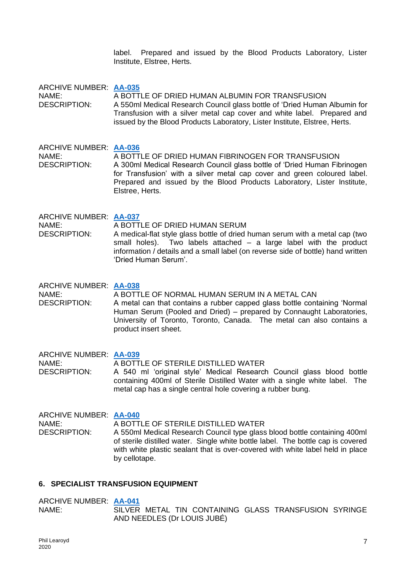label. Prepared and issued by the Blood Products Laboratory, Lister Institute, Elstree, Herts.

ARCHIVE NUMBER: **[AA-035](https://0d66353c-bff7-45fe-afa9-096c14d0e52b.filesusr.com/ugd/9e7bfc_66e6161576b444e9b7cd6256487853e3.pdf)** NAME: A BOTTLE OF DRIED HUMAN ALBUMIN FOR TRANSFUSION DESCRIPTION: A 550ml Medical Research Council glass bottle of 'Dried Human Albumin for Transfusion with a silver metal cap cover and white label. Prepared and issued by the Blood Products Laboratory, Lister Institute, Elstree, Herts.

ARCHIVE NUMBER: **[AA-036](https://0d66353c-bff7-45fe-afa9-096c14d0e52b.filesusr.com/ugd/9e7bfc_7a5cb10037aa4d02aa1ca3a28f75d84c.pdf)** NAME: A BOTTLE OF DRIED HUMAN FIBRINOGEN FOR TRANSFUSION DESCRIPTION: A 300ml Medical Research Council glass bottle of 'Dried Human Fibrinogen for Transfusion' with a silver metal cap cover and green coloured label. Prepared and issued by the Blood Products Laboratory, Lister Institute, Elstree, Herts.

ARCHIVE NUMBER: **[AA-037](https://0d66353c-bff7-45fe-afa9-096c14d0e52b.filesusr.com/ugd/9e7bfc_fa4a3851d20749b7b26022413d50f01f.pdf)** NAME: A BOTTLE OF DRIED HUMAN SERUM DESCRIPTION: A medical-flat style glass bottle of dried human serum with a metal cap (two small holes). Two labels attached – a large label with the product information / details and a small label (on reverse side of bottle) hand written 'Dried Human Serum'.

ARCHIVE NUMBER: **[AA-038](https://0d66353c-bff7-45fe-afa9-096c14d0e52b.filesusr.com/ugd/9e7bfc_4e2d3c97dd6742789597daccbb912c4f.pdf)** NAME: A BOTTLE OF NORMAL HUMAN SERUM IN A METAL CAN DESCRIPTION: A metal can that contains a rubber capped glass bottle containing 'Normal Human Serum (Pooled and Dried) – prepared by Connaught Laboratories, University of Toronto, Toronto, Canada. The metal can also contains a product insert sheet.

ARCHIVE NUMBER: **[AA-039](https://0d66353c-bff7-45fe-afa9-096c14d0e52b.filesusr.com/ugd/9e7bfc_74c5d9c08b934edcbe2a1a25c4133638.pdf)** NAME: A BOTTLE OF STERILE DISTILLED WATER DESCRIPTION: A 540 ml 'original style' Medical Research Council glass blood bottle containing 400ml of Sterile Distilled Water with a single white label. The metal cap has a single central hole covering a rubber bung.

ARCHIVE NUMBER: **[AA-040](https://0d66353c-bff7-45fe-afa9-096c14d0e52b.filesusr.com/ugd/9e7bfc_d9238dcedd8a4a519f17f99e15486071.pdf)** NAME: A BOTTLE OF STERILE DISTILLED WATER DESCRIPTION: A 550ml Medical Research Council type glass blood bottle containing 400ml of sterile distilled water. Single white bottle label. The bottle cap is covered with white plastic sealant that is over-covered with white label held in place by cellotape.

## **6. SPECIALIST TRANSFUSION EQUIPMENT**

#### ARCHIVE NUMBER: **[AA-041](https://0d66353c-bff7-45fe-afa9-096c14d0e52b.filesusr.com/ugd/9e7bfc_21cb4934776748e7a34d5595ec086a48.pdf)** NAME: SILVER METAL TIN CONTAINING GLASS TRANSFUSION SYRINGE AND NEEDLES (Dr LOUIS JUBÉ)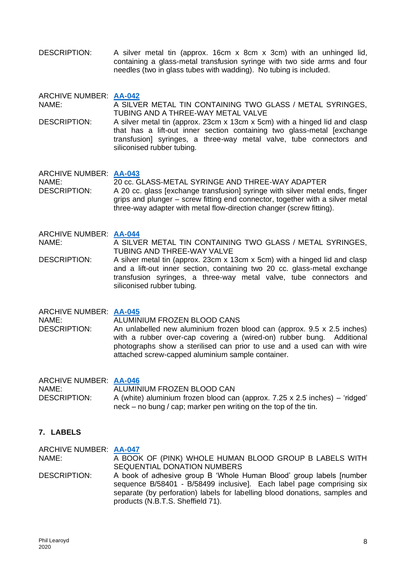DESCRIPTION: A silver metal tin (approx. 16cm x 8cm x 3cm) with an unhinged lid, containing a glass-metal transfusion syringe with two side arms and four needles (two in glass tubes with wadding). No tubing is included.

ARCHIVE NUMBER: **[AA-042](https://0d66353c-bff7-45fe-afa9-096c14d0e52b.filesusr.com/ugd/9e7bfc_70bc4531454044ce88b147d2c75e9075.pdf)**

NAME: A SILVER METAL TIN CONTAINING TWO GLASS / METAL SYRINGES, TUBING AND A THREE-WAY METAL VALVE

DESCRIPTION: A silver metal tin (approx. 23cm x 13cm x 5cm) with a hinged lid and clasp that has a lift-out inner section containing two glass-metal [exchange transfusion] syringes, a three-way metal valve, tube connectors and siliconised rubber tubing.

ARCHIVE NUMBER: **[AA-043](https://0d66353c-bff7-45fe-afa9-096c14d0e52b.filesusr.com/ugd/9e7bfc_2aded7b0b45443aa81fb2b4f396daaea.pdf)** NAME: 20 cc. GLASS-METAL SYRINGE AND THREE-WAY ADAPTER<br>DESCRIPTION: A 20 cc. glass lexchange transfusionl syringe with silver metal A 20 cc. glass [exchange transfusion] syringe with silver metal ends, finger grips and plunger – screw fitting end connector, together with a silver metal three-way adapter with metal flow-direction changer (screw fitting).

### ARCHIVE NUMBER: **[AA-044](https://0d66353c-bff7-45fe-afa9-096c14d0e52b.filesusr.com/ugd/9e7bfc_508a95acd56b42f492de8681cc1e2173.pdf)**

NAME: A SILVER METAL TIN CONTAINING TWO GLASS / METAL SYRINGES, TUBING AND THREE-WAY VALVE

DESCRIPTION: A silver metal tin (approx. 23cm x 13cm x 5cm) with a hinged lid and clasp and a lift-out inner section, containing two 20 cc. glass-metal exchange transfusion syringes, a three-way metal valve, tube connectors and siliconised rubber tubing.

ARCHIVE NUMBER: **[AA-045](https://0d66353c-bff7-45fe-afa9-096c14d0e52b.filesusr.com/ugd/9e7bfc_c802c719de6f48b1a5e3106a215273aa.pdf)** NAME: ALUMINIUM FROZEN BLOOD CANS<br>DESCRIPTION: An unlabelled new aluminium frozen An unlabelled new aluminium frozen blood can (approx.  $9.5 \times 2.5$  inches) with a rubber over-cap covering a (wired-on) rubber bung. Additional photographs show a sterilised can prior to use and a used can with wire attached screw-capped aluminium sample container.

ARCHIVE NUMBER: **[AA-046](https://0d66353c-bff7-45fe-afa9-096c14d0e52b.filesusr.com/ugd/9e7bfc_e1338e9a309b471fa6e686d4689f977f.pdf)** NAME: ALUMINIUM FROZEN BLOOD CAN DESCRIPTION: A (white) aluminium frozen blood can (approx. 7.25 x 2.5 inches) – 'ridged' neck – no bung / cap; marker pen writing on the top of the tin.

## **7. LABELS**

ARCHIVE NUMBER: **[AA-047](https://0d66353c-bff7-45fe-afa9-096c14d0e52b.filesusr.com/ugd/9e7bfc_84291e7d3ade4b328f93af8817da6182.pdf)** NAME: A BOOK OF (PINK) WHOLE HUMAN BLOOD GROUP B LABELS WITH SEQUENTIAL DONATION NUMBERS DESCRIPTION: A book of adhesive group B 'Whole Human Blood' group labels [number sequence B/58401 - B/58499 inclusive]. Each label page comprising six separate (by perforation) labels for labelling blood donations, samples and products (N.B.T.S. Sheffield 71).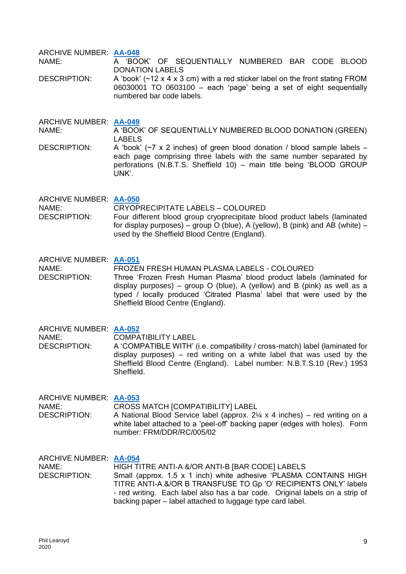ARCHIVE NUMBER: **[AA-048](https://0d66353c-bff7-45fe-afa9-096c14d0e52b.filesusr.com/ugd/9e7bfc_c20707b779dd4bc5b5150e4494dfa848.pdf)** NAME: A 'BOOK' OF SEQUENTIALLY NUMBERED BAR CODE BLOOD DONATION LABELS

DESCRIPTION: A 'book' (~12 x 4 x 3 cm) with a red sticker label on the front stating FROM 06030001 TO 0603100 – each 'page' being a set of eight sequentially numbered bar code labels.

ARCHIVE NUMBER: **[AA-049](https://0d66353c-bff7-45fe-afa9-096c14d0e52b.filesusr.com/ugd/9e7bfc_09f5e779413440b4b77edf949e4945ef.pdf)** NAME: A 'BOOK' OF SEQUENTIALLY NUMBERED BLOOD DONATION (GREEN) LABELS DESCRIPTION: A 'book'  $(\sim 7 \times 2 \text{ inches})$  of green blood donation / blood sample labels –

each page comprising three labels with the same number separated by perforations (N.B.T.S. Sheffield 10) – main title being 'BLOOD GROUP UNK'.

ARCHIVE NUMBER: **[AA-050](https://0d66353c-bff7-45fe-afa9-096c14d0e52b.filesusr.com/ugd/9e7bfc_09dd4af2bba4495cb1a55820725bebf7.pdf)** NAME: CRYOPRECIPITATE LABELS – COLOURED DESCRIPTION: Four different blood group cryoprecipitate blood product labels (laminated for display purposes) – group O (blue), A (yellow), B (pink) and AB (white) – used by the Sheffield Blood Centre (England).

ARCHIVE NUMBER: **[AA-051](https://0d66353c-bff7-45fe-afa9-096c14d0e52b.filesusr.com/ugd/9e7bfc_9d53888755134d2cb4a22e59232c311d.pdf)** NAME: FROZEN FRESH HUMAN PLASMA LABELS - COLOURED DESCRIPTION: Three 'Frozen Fresh Human Plasma' blood product labels (laminated for display purposes) – group O (blue), A (yellow) and B (pink) as well as a typed / locally produced 'Citrated Plasma' label that were used by the Sheffield Blood Centre (England).

ARCHIVE NUMBER: **[AA-052](https://0d66353c-bff7-45fe-afa9-096c14d0e52b.filesusr.com/ugd/9e7bfc_d1dd9adddafe4b93ad66db4c75217abe.pdf)** NAME: COMPATIBILITY LABEL DESCRIPTION: A 'COMPATIBLE WITH' (i.e. compatibility / cross-match) label (laminated for display purposes) – red writing on a white label that was used by the Sheffield Blood Centre (England). Label number: N.B.T.S.10 (Rev.) 1953 Sheffield.

ARCHIVE NUMBER: **[AA-053](https://0d66353c-bff7-45fe-afa9-096c14d0e52b.filesusr.com/ugd/9e7bfc_5fc49c4c7cc14925804aa33e9bcb80a3.pdf)** NAME: CROSS MATCH [COMPATIBILITY] LABEL<br>DESCRIPTION: A National Blood Service label (approx 2) A National Blood Service label (approx.  $2\frac{1}{4} \times 4$  inches) – red writing on a white label attached to a 'peel-off' backing paper (edges with holes). Form number: FRM/DDR/RC/005/02

ARCHIVE NUMBER: **[AA-054](https://0d66353c-bff7-45fe-afa9-096c14d0e52b.filesusr.com/ugd/9e7bfc_0f54d57a4a2749338d30e96765cd9a51.pdf)** NAME:<br>
DESCRIPTION: Small (approx 1.5 x 1 inch) white adhesive 'PLASMA ( Small (approx. 1.5 x 1 inch) white adhesive 'PLASMA CONTAINS HIGH TITRE ANTI-A &/OR B TRANSFUSE TO Gp 'O' RECIPIENTS ONLY' labels - red writing. Each label also has a bar code. Original labels on a strip of backing paper – label attached to luggage type card label.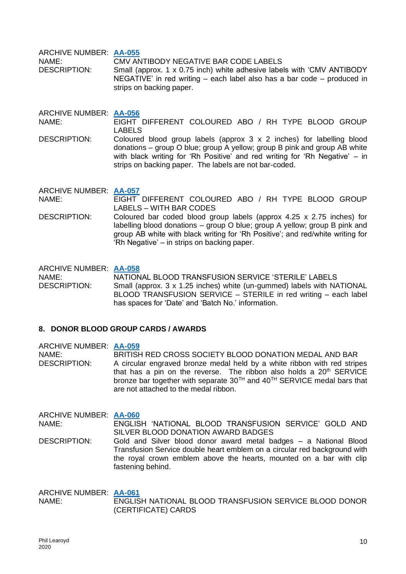ARCHIVE NUMBER: **[AA-055](https://0d66353c-bff7-45fe-afa9-096c14d0e52b.filesusr.com/ugd/9e7bfc_a5c501a525c341a6808d5a388c28b0d6.pdf)**

NAME: CMV ANTIBODY NEGATIVE BAR CODE LABELS DESCRIPTION: Small (approx. 1 x 0.75 inch) white adhesive labels with 'CMV ANTIBODY NEGATIVE' in red writing – each label also has a bar code – produced in strips on backing paper.

ARCHIVE NUMBER: **[AA-056](https://0d66353c-bff7-45fe-afa9-096c14d0e52b.filesusr.com/ugd/9e7bfc_68241bd8384745f886b703c438637dd9.pdf)**

NAME: EIGHT DIFFERENT COLOURED ABO / RH TYPE BLOOD GROUP LABELS

DESCRIPTION: Coloured blood group labels (approx 3 x 2 inches) for labelling blood donations – group O blue; group A yellow; group B pink and group AB white with black writing for 'Rh Positive' and red writing for 'Rh Negative' – in strips on backing paper. The labels are not bar-coded.

ARCHIVE NUMBER: **[AA-057](https://0d66353c-bff7-45fe-afa9-096c14d0e52b.filesusr.com/ugd/9e7bfc_db6bc8a0d2c049b2a54785ea1d75bd4d.pdf)** NAME: EIGHT DIFFERENT COLOURED ABO / RH TYPE BLOOD GROUP LABELS – WITH BAR CODES

DESCRIPTION: Coloured bar coded blood group labels (approx 4.25 x 2.75 inches) for labelling blood donations – group O blue; group A yellow; group B pink and group AB white with black writing for 'Rh Positive'; and red/white writing for 'Rh Negative' – in strips on backing paper.

ARCHIVE NUMBER: **[AA-058](https://0d66353c-bff7-45fe-afa9-096c14d0e52b.filesusr.com/ugd/9e7bfc_0cbbcf3392064ae694c6c9805a3f17d1.pdf)** NAME: NATIONAL BLOOD TRANSFUSION SERVICE 'STERILE' LABELS DESCRIPTION: Small (approx. 3 x 1.25 inches) white (un-gummed) labels with NATIONAL BLOOD TRANSFUSION SERVICE – STERILE in red writing – each label has spaces for 'Date' and 'Batch No.' information.

## **8. DONOR BLOOD GROUP CARDS / AWARDS**

ARCHIVE NUMBER: **[AA-059](https://0d66353c-bff7-45fe-afa9-096c14d0e52b.filesusr.com/ugd/9e7bfc_742fa4a890c4499b9abd3a36fa02912a.pdf)** NAME: BRITISH RED CROSS SOCIETY BLOOD DONATION MEDAL AND BAR DESCRIPTION: A circular engraved bronze medal held by a white ribbon with red stripes that has a pin on the reverse. The ribbon also holds a  $20<sup>th</sup>$  SERVICE bronze bar together with separate 30<sup>TH</sup> and 40<sup>TH</sup> SERVICE medal bars that are not attached to the medal ribbon.

ARCHIVE NUMBER: **[AA-060](https://0d66353c-bff7-45fe-afa9-096c14d0e52b.filesusr.com/ugd/9e7bfc_02f204f0357f418cb8e47221a33dfc74.pdf)** NAME: ENGLISH 'NATIONAL BLOOD TRANSFUSION SERVICE' GOLD AND SILVER BLOOD DONATION AWARD BADGES DESCRIPTION: Gold and Silver blood donor award metal badges – a National Blood

Transfusion Service double heart emblem on a circular red background with the royal crown emblem above the hearts, mounted on a bar with clip fastening behind.

ARCHIVE NUMBER: **[AA-061](https://0d66353c-bff7-45fe-afa9-096c14d0e52b.filesusr.com/ugd/9e7bfc_a63c4f102df74df7ac904e2ced2f8e07.pdf)** NAME: ENGLISH NATIONAL BLOOD TRANSFUSION SERVICE BLOOD DONOR (CERTIFICATE) CARDS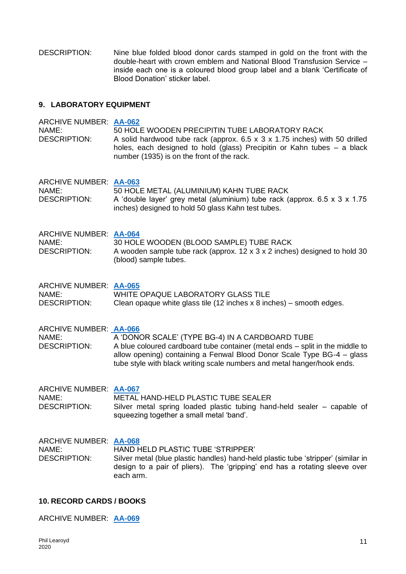DESCRIPTION: Nine blue folded blood donor cards stamped in gold on the front with the double-heart with crown emblem and National Blood Transfusion Service – inside each one is a coloured blood group label and a blank 'Certificate of Blood Donation' sticker label.

## **9. LABORATORY EQUIPMENT**

| <b>ARCHIVE NUMBER: AA-062</b><br>NAME:<br><b>DESCRIPTION:</b> | 50 HOLE WOODEN PRECIPITIN TUBE LABORATORY RACK<br>A solid hardwood tube rack (approx. $6.5 \times 3 \times 1.75$ inches) with 50 drilled<br>holes, each designed to hold (glass) Precipitin or Kahn tubes - a black<br>number (1935) is on the front of the rack.                     |
|---------------------------------------------------------------|---------------------------------------------------------------------------------------------------------------------------------------------------------------------------------------------------------------------------------------------------------------------------------------|
| ARCHIVE NUMBER: AA-063<br>NAME:<br><b>DESCRIPTION:</b>        | 50 HOLE METAL (ALUMINIUM) KAHN TUBE RACK<br>A 'double layer' grey metal (aluminium) tube rack (approx. 6.5 x 3 x 1.75<br>inches) designed to hold 50 glass Kahn test tubes.                                                                                                           |
| <b>ARCHIVE NUMBER: AA-064</b><br>NAME:<br><b>DESCRIPTION:</b> | 30 HOLE WOODEN (BLOOD SAMPLE) TUBE RACK<br>A wooden sample tube rack (approx. 12 x 3 x 2 inches) designed to hold 30<br>(blood) sample tubes.                                                                                                                                         |
| ARCHIVE NUMBER: AA-065<br>NAME:<br><b>DESCRIPTION:</b>        | WHITE OPAQUE LABORATORY GLASS TILE<br>Clean opaque white glass tile (12 inches $x$ 8 inches) – smooth edges.                                                                                                                                                                          |
| <b>ARCHIVE NUMBER: AA-066</b><br>NAME:<br><b>DESCRIPTION:</b> | A 'DONOR SCALE' (TYPE BG-4) IN A CARDBOARD TUBE<br>A blue coloured cardboard tube container (metal ends - split in the middle to<br>allow opening) containing a Fenwal Blood Donor Scale Type BG-4 - glass<br>tube style with black writing scale numbers and metal hanger/hook ends. |
| <b>ARCHIVE NUMBER: AA-067</b><br>NAME:<br><b>DESCRIPTION:</b> | METAL HAND-HELD PLASTIC TUBE SEALER<br>Silver metal spring loaded plastic tubing hand-held sealer – capable of<br>squeezing together a small metal 'band'.                                                                                                                            |
| ARCHIVE NUMBER: AA-068<br>NAME:<br><b>DESCRIPTION:</b>        | HAND HELD PLASTIC TUBE 'STRIPPER'<br>Silver metal (blue plastic handles) hand-held plastic tube 'stripper' (similar in<br>design to a pair of pliers). The 'gripping' end has a rotating sleeve over<br>each arm.                                                                     |

## **10. RECORD CARDS / BOOKS**

ARCHIVE NUMBER: **[AA-069](https://0d66353c-bff7-45fe-afa9-096c14d0e52b.filesusr.com/ugd/9e7bfc_28eb1a71339c4577892d677331d66603.pdf)**